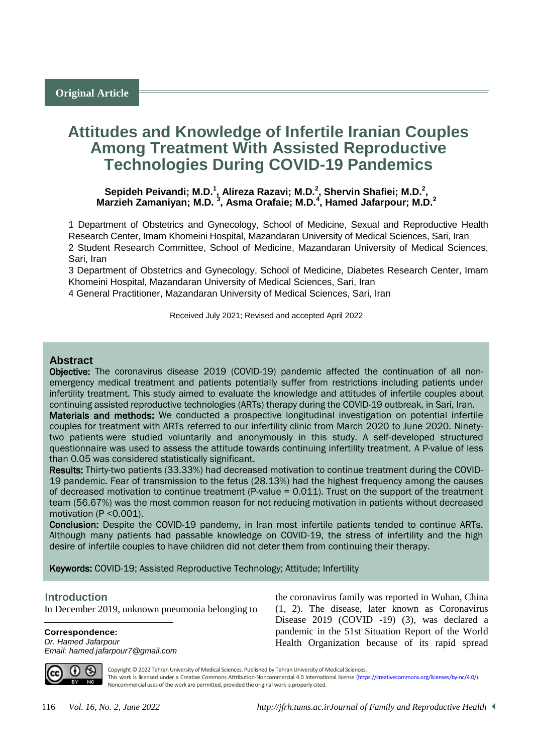# **Attitudes and Knowledge of Infertile Iranian Couples Among Treatment With Assisted Reproductive Technologies During COVID-19 Pandemics**

**Sepideh Peivandi; M.D.<sup>1</sup> , Alireza Razavi; M.D.<sup>2</sup> , Shervin Shafiei; M.D.<sup>2</sup> , Marzieh Zamaniyan; M.D. <sup>3</sup> , Asma Orafaie; M.D.<sup>4</sup> , Hamed Jafarpour; M.D.<sup>2</sup>**

1 Department of Obstetrics and Gynecology, School of Medicine, Sexual and Reproductive Health Research Center, Imam Khomeini Hospital, Mazandaran University of Medical Sciences, Sari, Iran 2 Student Research Committee, School of Medicine, Mazandaran University of Medical Sciences, Sari, Iran

3 Department of Obstetrics and Gynecology, School of Medicine, Diabetes Research Center, Imam Khomeini Hospital, Mazandaran University of Medical Sciences, Sari, Iran

4 General Practitioner, Mazandaran University of Medical Sciences, Sari, Iran

Received July 2021; Revised and accepted April 2022

# **Abstract**

Objective: The coronavirus disease 2019 (COVID-19) pandemic affected the continuation of all nonemergency medical treatment and patients potentially suffer from restrictions including patients under infertility treatment. This study aimed to evaluate the knowledge and attitudes of infertile couples about continuing assisted reproductive technologies (ARTs) therapy during the COVID-19 outbreak, in Sari, Iran.

Materials and methods: We conducted a prospective longitudinal investigation on potential infertile couples for treatment with ARTs referred to our infertility clinic from March 2020 to June 2020. Ninetytwo patients were studied voluntarily and anonymously in this study. A self-developed structured questionnaire was used to assess the attitude towards continuing infertility treatment. A P-value of less than 0.05 was considered statistically significant.

Results: Thirty-two patients (33.33%) had decreased motivation to continue treatment during the COVID-19 pandemic. Fear of transmission to the fetus (28.13%) had the highest frequency among the causes of decreased motivation to continue treatment (P-value = 0.011). Trust on the support of the treatment team (56.67%) was the most common reason for not reducing motivation in patients without decreased motivation (P <0.001).

Conclusion: Despite the COVID-19 pandemy, in Iran most infertile patients tended to continue ARTs. Although many patients had passable knowledge on COVID-19, the stress of infertility and the high desire of infertile couples to have children did not deter them from continuing their therapy.

Keywords: COVID-19; Assisted Reproductive Technology; Attitude; Infertility

### <sup>1</sup>**Introduction**

 $\overline{a}$ 

In December 2019, unknown pneumonia belonging to

**Correspondence:** *Dr. Hamed Jafarpour Email: hamed.jafarpour7@gmail.com* the coronavirus family was reported in Wuhan, China (1, 2). The disease, later known as Coronavirus Disease 2019 (COVID -19) (3), was declared a pandemic in the 51st Situation Report of the World Health Organization because of its rapid spread



Copyright © 2022 Tehran University of Medical Sciences. Published by Tehran University of Medical Sciences. This work is licensed under a Creative Commons Attribution-Noncommercial 4.0 International license [\(https://creativecommons.org/licenses/by-nc/4.0/\)](https://creativecommons.org/licenses/by-nc/4.0/). Noncommercial uses of the work are permitted, provided the original work is properly cited.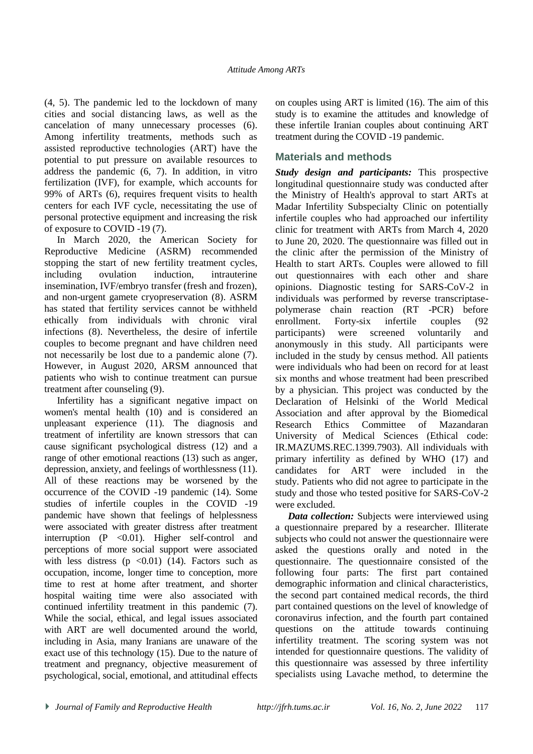(4, 5). The pandemic led to the lockdown of many cities and social distancing laws, as well as the cancelation of many unnecessary processes (6). Among infertility treatments, methods such as assisted reproductive technologies (ART) have the potential to put pressure on available resources to address the pandemic (6, 7). In addition, in vitro fertilization (IVF), for example, which accounts for 99% of ARTs (6), requires frequent visits to health centers for each IVF cycle, necessitating the use of personal protective equipment and increasing the risk of exposure to COVID -19 (7).

In March 2020, the American Society for Reproductive Medicine (ASRM) recommended stopping the start of new fertility treatment cycles, including ovulation induction, intrauterine insemination, IVF/embryo transfer (fresh and frozen), and non-urgent gamete cryopreservation (8). ASRM has stated that fertility services cannot be withheld ethically from individuals with chronic viral infections (8). Nevertheless, the desire of infertile couples to become pregnant and have children need not necessarily be lost due to a pandemic alone (7). However, in August 2020, ARSM announced that patients who wish to continue treatment can pursue treatment after counseling (9).

Infertility has a significant negative impact on women's mental health (10) and is considered an unpleasant experience (11). The diagnosis and treatment of infertility are known stressors that can cause significant psychological distress (12) and a range of other emotional reactions (13) such as anger, depression, anxiety, and feelings of worthlessness (11). All of these reactions may be worsened by the occurrence of the COVID -19 pandemic (14). Some studies of infertile couples in the COVID -19 pandemic have shown that feelings of helplessness were associated with greater distress after treatment interruption (P < 0.01). Higher self-control and perceptions of more social support were associated with less distress  $(p \le 0.01)$  (14). Factors such as occupation, income, longer time to conception, more time to rest at home after treatment, and shorter hospital waiting time were also associated with continued infertility treatment in this pandemic (7). While the social, ethical, and legal issues associated with ART are well documented around the world, including in Asia, many Iranians are unaware of the exact use of this technology (15). Due to the nature of treatment and pregnancy, objective measurement of psychological, social, emotional, and attitudinal effects

on couples using ART is limited (16). The aim of this study is to examine the attitudes and knowledge of these infertile Iranian couples about continuing ART treatment during the COVID -19 pandemic.

# **Materials and methods**

*Study design and participants:* This prospective longitudinal questionnaire study was conducted after the Ministry of Health's approval to start ARTs at Madar Infertility Subspecialty Clinic on potentially infertile couples who had approached our infertility clinic for treatment with ARTs from March 4, 2020 to June 20, 2020. The questionnaire was filled out in the clinic after the permission of the Ministry of Health to start ARTs. Couples were allowed to fill out questionnaires with each other and share opinions. Diagnostic testing for SARS-CoV-2 in individuals was performed by reverse transcriptasepolymerase chain reaction (RT -PCR) before enrollment. Forty-six infertile couples (92 participants) were screened voluntarily and anonymously in this study. All participants were included in the study by census method. All patients were individuals who had been on record for at least six months and whose treatment had been prescribed by a physician. This project was conducted by the Declaration of Helsinki of the World Medical Association and after approval by the Biomedical Research Ethics Committee of Mazandaran University of Medical Sciences (Ethical code: IR.MAZUMS.REC.1399.7903). All individuals with primary infertility as defined by WHO (17) and candidates for ART were included in the study. Patients who did not agree to participate in the study and those who tested positive for SARS-CoV-2 were excluded.

*Data collection:* Subjects were interviewed using a questionnaire prepared by a researcher. Illiterate subjects who could not answer the questionnaire were asked the questions orally and noted in the questionnaire. The questionnaire consisted of the following four parts: The first part contained demographic information and clinical characteristics, the second part contained medical records, the third part contained questions on the level of knowledge of coronavirus infection, and the fourth part contained questions on the attitude towards continuing infertility treatment. The scoring system was not intended for questionnaire questions. The validity of this questionnaire was assessed by three infertility specialists using Lavache method, to determine the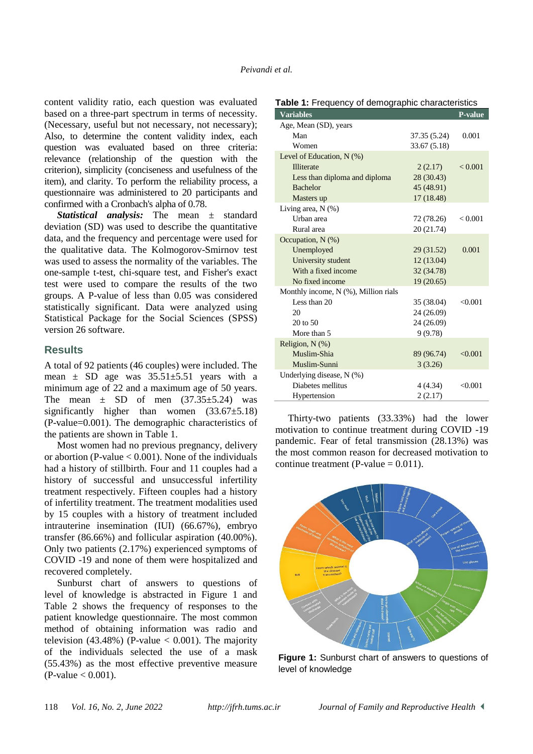content validity ratio, each question was evaluated based on a three-part spectrum in terms of necessity. (Necessary, useful but not necessary, not necessary); Also, to determine the content validity index, each question was evaluated based on three criteria: relevance (relationship of the question with the criterion), simplicity (conciseness and usefulness of the item), and clarity. To perform the reliability process, a questionnaire was administered to 20 participants and confirmed with a Cronbach's alpha of 0.78.

*Statistical analysis:* The mean ± standard deviation (SD) was used to describe the quantitative data, and the frequency and percentage were used for the qualitative data. The Kolmogorov-Smirnov test was used to assess the normality of the variables. The one-sample t-test, chi-square test, and Fisher's exact test were used to compare the results of the two groups. A P-value of less than 0.05 was considered statistically significant. Data were analyzed using Statistical Package for the Social Sciences (SPSS) version 26 software.

# **Results**

A total of 92 patients (46 couples) were included. The mean  $\pm$  SD age was  $35.51\pm5.51$  years with a minimum age of 22 and a maximum age of 50 years. The mean  $\pm$  SD of men  $(37.35\pm5.24)$  was significantly higher than women  $(33.67\pm5.18)$ (P-value=0.001). The demographic characteristics of the patients are shown in Table 1.

Most women had no previous pregnancy, delivery or abortion (P-value  $< 0.001$ ). None of the individuals had a history of stillbirth. Four and 11 couples had a history of successful and unsuccessful infertility treatment respectively. Fifteen couples had a history of infertility treatment. The treatment modalities used by 15 couples with a history of treatment included intrauterine insemination (IUI) (66.67%), embryo transfer (86.66%) and follicular aspiration (40.00%). Only two patients (2.17%) experienced symptoms of COVID -19 and none of them were hospitalized and recovered completely.

Sunburst chart of answers to questions of level of knowledge is abstracted in Figure 1 and Table 2 shows the frequency of responses to the patient knowledge questionnaire. The most common method of obtaining information was radio and television (43.48%) (P-value  $< 0.001$ ). The majority of the individuals selected the use of a mask (55.43%) as the most effective preventive measure  $(P-value < 0.001)$ .

| <b>Variables</b>                           |              | P-value        |
|--------------------------------------------|--------------|----------------|
| Age, Mean (SD), years                      |              |                |
| Man                                        | 37.35 (5.24) | 0.001          |
| Women                                      | 33.67 (5.18) |                |
| Level of Education, N (%)                  |              |                |
| <b>Illiterate</b>                          | 2(2.17)      | ${}_{< 0.001}$ |
| Less than diploma and diploma              | 28 (30.43)   |                |
| <b>Bachelor</b>                            | 45 (48.91)   |                |
| Masters up                                 | 17 (18.48)   |                |
| Living area, $N$ $(\%)$                    |              |                |
| Urban area                                 | 72 (78.26)   | < 0.001        |
| Rural area                                 | 20 (21.74)   |                |
| Occupation, $N$ (%)                        |              |                |
| Unemployed                                 | 29 (31.52)   | 0.001          |
| University student                         | 12(13.04)    |                |
| With a fixed income                        | 32 (34.78)   |                |
| No fixed income                            | 19(20.65)    |                |
| Monthly income, $N$ $(\%)$ , Million rials |              |                |
| Less than 20                               | 35 (38.04)   | < 0.001        |
| 20                                         | 24 (26.09)   |                |
| 20 to 50                                   | 24 (26.09)   |                |
| More than 5                                | 9(9.78)      |                |
| Religion, $N$ $(\%)$                       |              |                |
| Muslim-Shia                                | 89 (96.74)   | < 0.001        |
| Muslim-Sunni                               | 3(3.26)      |                |
| Underlying disease, N (%)                  |              |                |
| Diabetes mellitus                          | 4 (4.34)     | < 0.001        |
| Hypertension                               | 2(2.17)      |                |

**Table 1:** Frequency of demographic characteristics

Thirty-two patients (33.33%) had the lower motivation to continue treatment during COVID -19 pandemic. Fear of fetal transmission (28.13%) was the most common reason for decreased motivation to continue treatment (P-value  $= 0.011$ ).



**Figure 1:** Sunburst chart of answers to questions of level of knowledge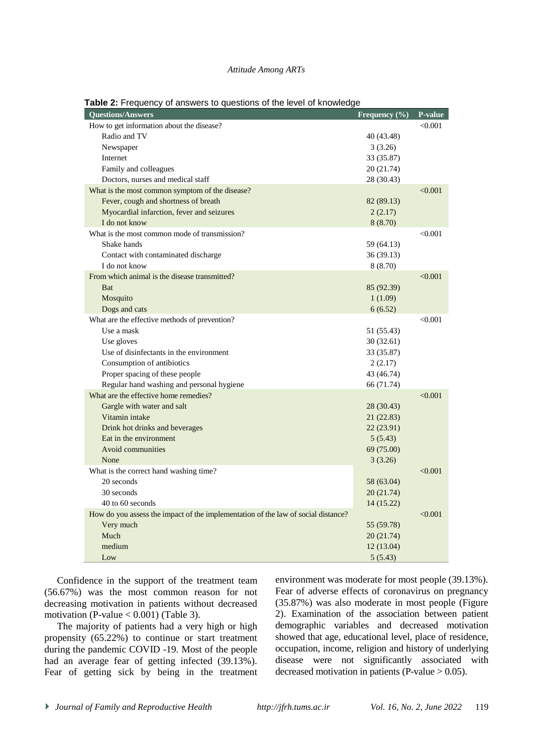#### *Attitude Among ARTs*

| <b>Questions/Answers</b>                                                          | Frequency (%) | P-value |
|-----------------------------------------------------------------------------------|---------------|---------|
| How to get information about the disease?                                         |               | < 0.001 |
| Radio and TV                                                                      | 40 (43.48)    |         |
| Newspaper                                                                         | 3(3.26)       |         |
| Internet                                                                          | 33 (35.87)    |         |
| Family and colleagues                                                             | 20 (21.74)    |         |
| Doctors, nurses and medical staff                                                 | 28 (30.43)    |         |
| What is the most common symptom of the disease?                                   |               | < 0.001 |
| Fever, cough and shortness of breath                                              | 82 (89.13)    |         |
| Myocardial infarction, fever and seizures                                         | 2(2.17)       |         |
| I do not know                                                                     | 8(8.70)       |         |
| What is the most common mode of transmission?                                     |               | < 0.001 |
| Shake hands                                                                       | 59 (64.13)    |         |
| Contact with contaminated discharge                                               | 36(39.13)     |         |
| I do not know                                                                     | 8 (8.70)      |         |
| From which animal is the disease transmitted?                                     |               | < 0.001 |
| <b>B</b> at                                                                       | 85 (92.39)    |         |
| Mosquito                                                                          | 1(1.09)       |         |
| Dogs and cats                                                                     | 6(6.52)       |         |
| What are the effective methods of prevention?                                     |               | < 0.001 |
| Use a mask                                                                        | 51 (55.43)    |         |
| Use gloves                                                                        | 30(32.61)     |         |
| Use of disinfectants in the environment                                           | 33 (35.87)    |         |
| Consumption of antibiotics                                                        | 2(2.17)       |         |
| Proper spacing of these people                                                    | 43 (46.74)    |         |
| Regular hand washing and personal hygiene                                         | 66 (71.74)    |         |
| What are the effective home remedies?                                             |               | < 0.001 |
| Gargle with water and salt                                                        | 28 (30.43)    |         |
| Vitamin intake                                                                    | 21 (22.83)    |         |
| Drink hot drinks and beverages                                                    | 22 (23.91)    |         |
| Eat in the environment                                                            | 5(5.43)       |         |
| Avoid communities                                                                 | 69 (75.00)    |         |
| None                                                                              | 3(3.26)       |         |
| What is the correct hand washing time?                                            |               | < 0.001 |
| 20 seconds                                                                        | 58 (63.04)    |         |
| 30 seconds                                                                        | 20(21.74)     |         |
| 40 to 60 seconds                                                                  | 14 (15.22)    |         |
| How do you assess the impact of the implementation of the law of social distance? |               | < 0.001 |
| Very much                                                                         | 55 (59.78)    |         |
| Much                                                                              | 20(21.74)     |         |
| medium                                                                            | 12(13.04)     |         |
| Low                                                                               | 5(5.43)       |         |

**Table 2:** Frequency of answers to questions of the level of knowledge

Confidence in the support of the treatment team (56.67%) was the most common reason for not decreasing motivation in patients without decreased motivation (P-value  $< 0.001$ ) (Table 3).

The majority of patients had a very high or high propensity (65.22%) to continue or start treatment during the pandemic COVID -19. Most of the people had an average fear of getting infected (39.13%). Fear of getting sick by being in the treatment

environment was moderate for most people (39.13%). Fear of adverse effects of coronavirus on pregnancy (35.87%) was also moderate in most people (Figure 2). Examination of the association between patient demographic variables and decreased motivation showed that age, educational level, place of residence, occupation, income, religion and history of underlying disease were not significantly associated with decreased motivation in patients (P-value  $> 0.05$ ).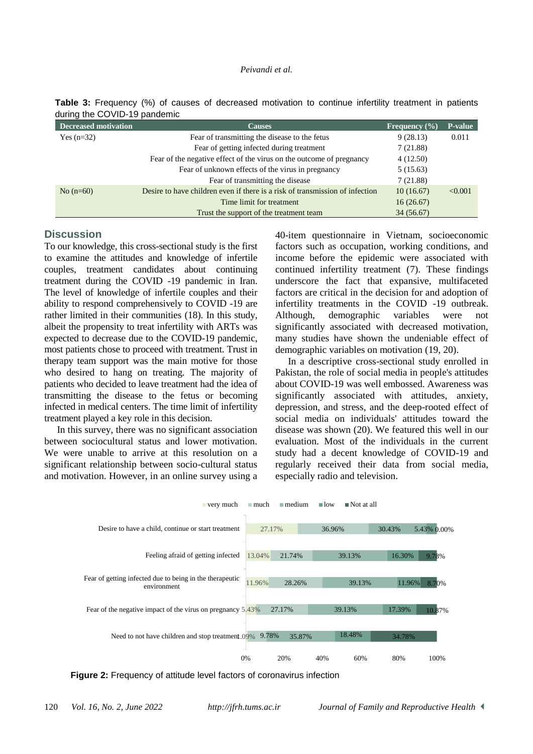#### *Peivandi et al.*

| <b>Decreased motivation</b> | <b>Causes</b>                                                                | Frequency $(\% )$ | <b>P-value</b> |
|-----------------------------|------------------------------------------------------------------------------|-------------------|----------------|
| Yes $(n=32)$                | Fear of transmitting the disease to the fetus                                | 9(28.13)          | 0.011          |
|                             | Fear of getting infected during treatment                                    | 7(21.88)          |                |
|                             | Fear of the negative effect of the virus on the outcome of pregnancy         | 4(12.50)          |                |
|                             | Fear of unknown effects of the virus in pregnancy                            | 5(15.63)          |                |
|                             | Fear of transmitting the disease                                             | 7(21.88)          |                |
| No $(n=60)$                 | Desire to have children even if there is a risk of transmission of infection | 10(16.67)         | < 0.001        |
|                             | Time limit for treatment                                                     | 16(26.67)         |                |
|                             | Trust the support of the treatment team                                      | 34 (56.67)        |                |

**Table 3:** Frequency (%) of causes of decreased motivation to continue infertility treatment in patients during the COVID-10 pandemic

### **Discussion**

To our knowledge, this cross-sectional study is the first to examine the attitudes and knowledge of infertile couples, treatment candidates about continuing treatment during the COVID -19 pandemic in Iran. The level of knowledge of infertile couples and their ability to respond comprehensively to COVID -19 are rather limited in their communities (18). In this study, albeit the propensity to treat infertility with ARTs was expected to decrease due to the COVID-19 pandemic, most patients chose to proceed with treatment. Trust in therapy team support was the main motive for those who desired to hang on treating. The majority of patients who decided to leave treatment had the idea of transmitting the disease to the fetus or becoming infected in medical centers. The time limit of infertility treatment played a key role in this decision.

In this survey, there was no significant association between sociocultural status and lower motivation. We were unable to arrive at this resolution on a significant relationship between socio-cultural status and motivation. However, in an online survey using a

40-item questionnaire in Vietnam, socioeconomic factors such as occupation, working conditions, and income before the epidemic were associated with continued infertility treatment (7). These findings underscore the fact that expansive, multifaceted factors are critical in the decision for and adoption of infertility treatments in the COVID -19 outbreak. Although, demographic variables were not significantly associated with decreased motivation, many studies have shown the undeniable effect of demographic variables on motivation (19, 20).

In a descriptive cross-sectional study enrolled in Pakistan, the role of social media in people's attitudes about COVID-19 was well embossed. Awareness was significantly associated with attitudes, anxiety, depression, and stress, and the deep-rooted effect of social media on individuals' attitudes toward the disease was shown (20). We featured this well in our evaluation. Most of the individuals in the current study had a decent knowledge of COVID-19 and regularly received their data from social media, especially radio and television.



**Figure 2:** Frequency of attitude level factors of coronavirus infection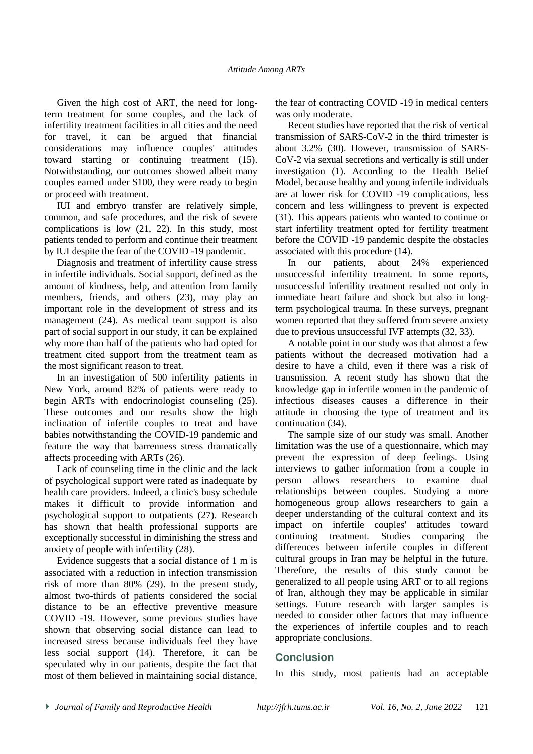Given the high cost of ART, the need for longterm treatment for some couples, and the lack of infertility treatment facilities in all cities and the need for travel, it can be argued that financial considerations may influence couples' attitudes toward starting or continuing treatment (15). Notwithstanding, our outcomes showed albeit many couples earned under \$100, they were ready to begin or proceed with treatment.

IUI and embryo transfer are relatively simple, common, and safe procedures, and the risk of severe complications is low (21, 22). In this study, most patients tended to perform and continue their treatment by IUI despite the fear of the COVID -19 pandemic.

Diagnosis and treatment of infertility cause stress in infertile individuals. Social support, defined as the amount of kindness, help, and attention from family members, friends, and others (23), may play an important role in the development of stress and its management (24). As medical team support is also part of social support in our study, it can be explained why more than half of the patients who had opted for treatment cited support from the treatment team as the most significant reason to treat.

In an investigation of 500 infertility patients in New York, around 82% of patients were ready to begin ARTs with endocrinologist counseling (25). These outcomes and our results show the high inclination of infertile couples to treat and have babies notwithstanding the COVID-19 pandemic and feature the way that barrenness stress dramatically affects proceeding with ARTs (26).

Lack of counseling time in the clinic and the lack of psychological support were rated as inadequate by health care providers. Indeed, a clinic's busy schedule makes it difficult to provide information and psychological support to outpatients (27). Research has shown that health professional supports are exceptionally successful in diminishing the stress and anxiety of people with infertility (28).

Evidence suggests that a social distance of 1 m is associated with a reduction in infection transmission risk of more than 80% (29). In the present study, almost two-thirds of patients considered the social distance to be an effective preventive measure COVID -19. However, some previous studies have shown that observing social distance can lead to increased stress because individuals feel they have less social support (14). Therefore, it can be speculated why in our patients, despite the fact that most of them believed in maintaining social distance, the fear of contracting COVID -19 in medical centers was only moderate.

Recent studies have reported that the risk of vertical transmission of SARS-CoV-2 in the third trimester is about 3.2% (30). However, transmission of SARS-CoV-2 via sexual secretions and vertically is still under investigation (1). According to the Health Belief Model, because healthy and young infertile individuals are at lower risk for COVID -19 complications, less concern and less willingness to prevent is expected (31). This appears patients who wanted to continue or start infertility treatment opted for fertility treatment before the COVID -19 pandemic despite the obstacles associated with this procedure (14).

In our patients, about 24% experienced unsuccessful infertility treatment. In some reports, unsuccessful infertility treatment resulted not only in immediate heart failure and shock but also in longterm psychological trauma. In these surveys, pregnant women reported that they suffered from severe anxiety due to previous unsuccessful IVF attempts (32, 33).

A notable point in our study was that almost a few patients without the decreased motivation had a desire to have a child, even if there was a risk of transmission. A recent study has shown that the knowledge gap in infertile women in the pandemic of infectious diseases causes a difference in their attitude in choosing the type of treatment and its continuation (34).

The sample size of our study was small. Another limitation was the use of a questionnaire, which may prevent the expression of deep feelings. Using interviews to gather information from a couple in person allows researchers to examine dual relationships between couples. Studying a more homogeneous group allows researchers to gain a deeper understanding of the cultural context and its impact on infertile couples' attitudes toward continuing treatment. Studies comparing the differences between infertile couples in different cultural groups in Iran may be helpful in the future. Therefore, the results of this study cannot be generalized to all people using ART or to all regions of Iran, although they may be applicable in similar settings. Future research with larger samples is needed to consider other factors that may influence the experiences of infertile couples and to reach appropriate conclusions.

# **Conclusion**

In this study, most patients had an acceptable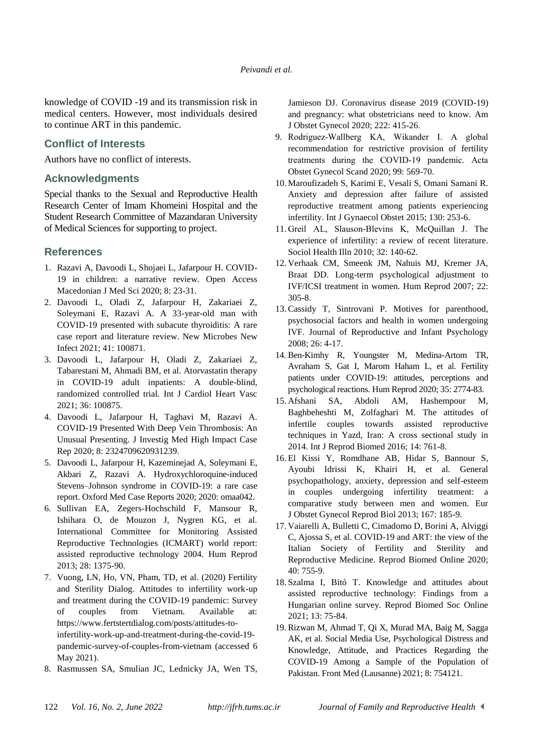knowledge of COVID -19 and its transmission risk in medical centers. However, most individuals desired to continue ART in this pandemic.

# **Conflict of Interests**

Authors have no conflict of interests.

# **Acknowledgments**

Special thanks to the Sexual and Reproductive Health Research Center of Imam Khomeini Hospital and the Student Research Committee of Mazandaran University of Medical Sciences for supporting to project.

# **References**

- 1. Razavi A, Davoodi L, Shojaei L, Jafarpour H. COVID-19 in children: a narrative review. Open Access Macedonian J Med Sci 2020; 8: 23-31.
- 2. Davoodi L, Oladi Z, Jafarpour H, Zakariaei Z, Soleymani E, Razavi A. A 33-year-old man with COVID-19 presented with subacute thyroiditis: A rare case report and literature review. New Microbes New Infect 2021; 41: 100871.
- 3. Davoodi L, Jafarpour H, Oladi Z, Zakariaei Z, Tabarestani M, Ahmadi BM, et al. Atorvastatin therapy in COVID-19 adult inpatients: A double-blind, randomized controlled trial. Int J Cardiol Heart Vasc 2021; 36: 100875.
- 4. Davoodi L, Jafarpour H, Taghavi M, Razavi A. COVID-19 Presented With Deep Vein Thrombosis: An Unusual Presenting. J Investig Med High Impact Case Rep 2020; 8: 2324709620931239.
- 5. Davoodi L, Jafarpour H, Kazeminejad A, Soleymani E, Akbari Z, Razavi A. Hydroxychloroquine-induced Stevens–Johnson syndrome in COVID-19: a rare case report. Oxford Med Case Reports 2020; 2020: omaa042.
- 6. Sullivan EA, Zegers-Hochschild F, Mansour R, Ishihara O, de Mouzon J, Nygren KG, et al. International Committee for Monitoring Assisted Reproductive Technologies (ICMART) world report: assisted reproductive technology 2004. Hum Reprod 2013; 28: 1375-90.
- 7. Vuong, LN, Ho, VN, Pham, TD, et al. (2020) Fertility and Sterility Dialog. Attitudes to infertility work-up and treatment during the COVID-19 pandemic: Survey of couples from Vietnam. Available at: https://www.fertstertdialog.com/posts/attitudes-toinfertility-work-up-and-treatment-during-the-covid-19 pandemic-survey-of-couples-from-vietnam (accessed 6 May 2021).
- 8. Rasmussen SA, Smulian JC, Lednicky JA, Wen TS,

Jamieson DJ. Coronavirus disease 2019 (COVID-19) and pregnancy: what obstetricians need to know. Am J Obstet Gynecol 2020; 222: 415-26.

- 9. Rodriguez‐Wallberg KA, Wikander I. A global recommendation for restrictive provision of fertility treatments during the COVID‐19 pandemic. Acta Obstet Gynecol Scand 2020; 99: 569-70.
- 10. Maroufizadeh S, Karimi E, Vesali S, Omani Samani R. Anxiety and depression after failure of assisted reproductive treatment among patients experiencing infertility. Int J Gynaecol Obstet 2015; 130: 253-6.
- 11. Greil AL, Slauson‐Blevins K, McQuillan J. The experience of infertility: a review of recent literature. Sociol Health Illn 2010; 32: 140-62.
- 12. Verhaak CM, Smeenk JM, Nahuis MJ, Kremer JA, Braat DD. Long-term psychological adjustment to IVF/ICSI treatment in women. Hum Reprod 2007; 22: 305-8.
- 13.Cassidy T, Sintrovani P. Motives for parenthood, psychosocial factors and health in women undergoing IVF. [Journal of Reproductive](https://www.tandfonline.com/journals/cjri20) and Infant Psychology 2008; 26: 4-17.
- 14. Ben-Kimhy R, Youngster M, Medina-Artom TR, Avraham S, Gat I, Marom Haham L, et al. Fertility patients under COVID-19: attitudes, perceptions and psychological reactions. Hum Reprod 2020; 35: 2774-83.
- 15. Afshani SA, Abdoli AM, Hashempour M, Baghbeheshti M, Zolfaghari M. The attitudes of infertile couples towards assisted reproductive techniques in Yazd, Iran: A cross sectional study in 2014. Int J Reprod Biomed 2016; 14: 761-8.
- 16. El Kissi Y, Romdhane AB, Hidar S, Bannour S, Ayoubi Idrissi K, Khairi H, et al. General psychopathology, anxiety, depression and self-esteem in couples undergoing infertility treatment: a comparative study between men and women. Eur J Obstet Gynecol Reprod Biol 2013; 167: 185-9.
- 17. Vaiarelli A, Bulletti C, Cimadomo D, Borini A, Alviggi C, Ajossa S, et al. COVID-19 and ART: the view of the Italian Society of Fertility and Sterility and Reproductive Medicine. Reprod Biomed Online 2020; 40: 755-9.
- 18. Szalma I, Bitó T. Knowledge and attitudes about assisted reproductive technology: Findings from a Hungarian online survey. Reprod Biomed Soc Online 2021; 13: 75-84.
- 19. Rizwan M, Ahmad T, Qi X, Murad MA, Baig M, Sagga AK, et al. Social Media Use, Psychological Distress and Knowledge, Attitude, and Practices Regarding the COVID-19 Among a Sample of the Population of Pakistan. Front Med (Lausanne) 2021; 8: 754121.